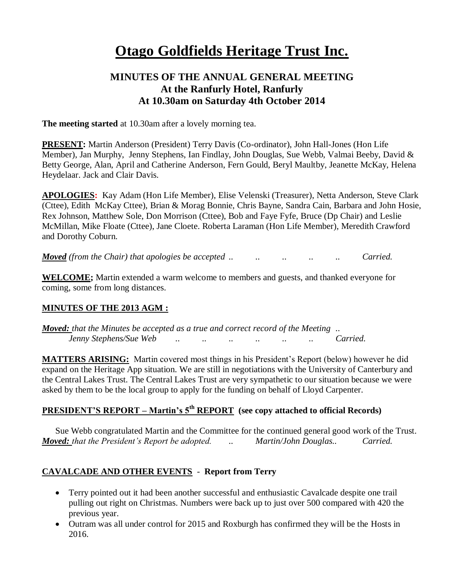# **Otago Goldfields Heritage Trust Inc.**

## **MINUTES OF THE ANNUAL GENERAL MEETING At the Ranfurly Hotel, Ranfurly At 10.30am on Saturday 4th October 2014**

**The meeting started** at 10.30am after a lovely morning tea.

**PRESENT:** Martin Anderson (President) Terry Davis (Co-ordinator), John Hall-Jones (Hon Life Member), Jan Murphy, Jenny Stephens, Ian Findlay, John Douglas, Sue Webb, Valmai Beeby, David & Betty George, Alan, April and Catherine Anderson, Fern Gould, Beryl Maultby, Jeanette McKay, Helena Heydelaar. Jack and Clair Davis.

**APOLOGIES:** Kay Adam (Hon Life Member), Elise Velenski (Treasurer), Netta Anderson, Steve Clark (Cttee), Edith McKay Cttee), Brian & Morag Bonnie, Chris Bayne, Sandra Cain, Barbara and John Hosie, Rex Johnson, Matthew Sole, Don Morrison (Cttee), Bob and Faye Fyfe, Bruce (Dp Chair) and Leslie McMillan, Mike Floate (Cttee), Jane Cloete. Roberta Laraman (Hon Life Member), Meredith Crawford and Dorothy Coburn.

*Moved (from the Chair) that apologies be accepted .. .. .. .. .. Carried.*

**WELCOME;** Martin extended a warm welcome to members and guests, and thanked everyone for coming, some from long distances.

## **MINUTES OF THE 2013 AGM :**

*Moved: that the Minutes be accepted as a true and correct record of the Meeting .. Jenny Stephens/Sue Web .. .. .. .. .. .. Carried.*

**MATTERS ARISING:** Martin covered most things in his President's Report (below) however he did expand on the Heritage App situation. We are still in negotiations with the University of Canterbury and the Central Lakes Trust. The Central Lakes Trust are very sympathetic to our situation because we were asked by them to be the local group to apply for the funding on behalf of Lloyd Carpenter.

# **PRESIDENT'S REPORT – Martin's 5th REPORT (see copy attached to official Records)**

Sue Webb congratulated Martin and the Committee for the continued general good work of the Trust. *Moved: that the President's Report be adopted. .. Martin/John Douglas.. Carried.*

## **CAVALCADE AND OTHER EVENTS** - **Report from Terry**

- Terry pointed out it had been another successful and enthusiastic Cavalcade despite one trail pulling out right on Christmas. Numbers were back up to just over 500 compared with 420 the previous year.
- Outram was all under control for 2015 and Roxburgh has confirmed they will be the Hosts in 2016.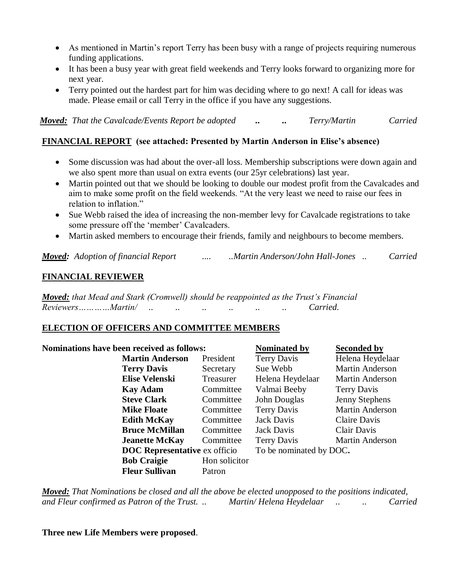- As mentioned in Martin's report Terry has been busy with a range of projects requiring numerous funding applications.
- It has been a busy year with great field weekends and Terry looks forward to organizing more for next year.
- Terry pointed out the hardest part for him was deciding where to go next! A call for ideas was made. Please email or call Terry in the office if you have any suggestions.

*Moved: That the Cavalcade/Events Report be adopted .. .. Terry/Martin Carried*

## **FINANCIAL REPORT (see attached: Presented by Martin Anderson in Elise's absence)**

- Some discussion was had about the over-all loss. Membership subscriptions were down again and we also spent more than usual on extra events (our 25yr celebrations) last year.
- Martin pointed out that we should be looking to double our modest profit from the Cavalcades and aim to make some profit on the field weekends. "At the very least we need to raise our fees in relation to inflation."
- Sue Webb raised the idea of increasing the non-member levy for Cavalcade registrations to take some pressure off the 'member' Cavalcaders.
- Martin asked members to encourage their friends, family and neighbours to become members.

*Moved: Adoption of financial Report .... ..Martin Anderson/John Hall-Jones .. Carried*

## **FINANCIAL REVIEWER**

*Moved: that Mead and Stark (Cromwell) should be reappointed as the Trust's Financial Reviewers…………Martin/ .. .. .. .. .. .. Carried.*

### **ELECTION OF OFFICERS AND COMMITTEE MEMBERS**

| Nominations have been received as follows: |                                      | Nominated by       | <b>Seconded by</b>      |  |
|--------------------------------------------|--------------------------------------|--------------------|-------------------------|--|
| <b>Martin Anderson</b>                     | President                            | <b>Terry Davis</b> | Helena Heydelaar        |  |
| <b>Terry Davis</b>                         | Secretary                            | Sue Webb           | <b>Martin Anderson</b>  |  |
| <b>Elise Velenski</b>                      | Treasurer                            | Helena Heydelaar   | <b>Martin Anderson</b>  |  |
| <b>Kay Adam</b>                            | Committee                            | Valmai Beeby       | Terry Davis             |  |
| <b>Steve Clark</b>                         | Committee                            | John Douglas       | Jenny Stephens          |  |
| <b>Mike Floate</b>                         | Committee                            | <b>Terry Davis</b> | <b>Martin Anderson</b>  |  |
| <b>Edith McKay</b>                         | Committee                            | Jack Davis         | Claire Davis            |  |
| <b>Bruce McMillan</b>                      | Committee                            | Jack Davis         | Clair Davis             |  |
| <b>Jeanette McKay</b>                      | Committee                            | <b>Terry Davis</b> | <b>Martin Anderson</b>  |  |
|                                            | <b>DOC</b> Representative ex officio |                    | To be nominated by DOC. |  |
| <b>Bob Craigie</b>                         | Hon solicitor                        |                    |                         |  |
| <b>Fleur Sullivan</b>                      | Patron                               |                    |                         |  |

*Moved: That Nominations be closed and all the above be elected unopposed to the positions indicated, and Fleur confirmed as Patron of the Trust. .. Martin/ Helena Heydelaar .. .. Carried*

**Three new Life Members were proposed**.